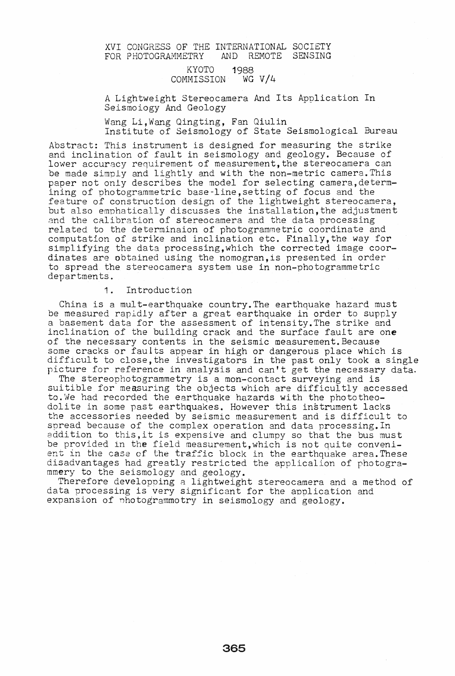# XVI CONGRESS OF THE INTERNATIONAL SOCIETY<br>FOR PHOTOGRAMMETRY AND REMOTE SENSING AND REMOTE SENSING

### KYOTO 1988 COMMISSION WG V/4

A Lightweight Stereocamera And Its Application In Seismoiogy And Geology

Wang Li,Wang Qingting, Fan Qiulin

Institute of Seismology of State Seismological Bureau

Abstract: This instrument is designed for measuring the strike and inclination of fault in seismology and geology\_ Because of lower accuracy requirement of measurement, the stereocamera can be made simply and lightly and with the non-metric camera. This paper not only describes the model for selecting camera,determining of photogrammetric base-line,setting of focus and the feature of construction design of the lightweight stereocamera, but also emphatically discusses the installation, the adjustment and the calibration of stereocamera and the data processing related to the determinaion of photogrammetric coordinate and computation of strike and inclination etc. Flnally,the way for simplifying the data processing,which the corrected image coordinates are obtained using the nomogran,is presented in order to spread the stereocamera system use in non-photogrammetric departments.

# 1. Introduction

China is a mult-earthquake country. The earthquake hazard must be measured rapidly after a great earthquake in order to supply a basement data for the assessment of intensity. The strike and inclination of the building crack and the surface fault are one of the necessary contents in the seismic measurement. Because some cracks or faults appear in high or dangerous place which is some cracks of faults appear in high or dangerous prace which is<br>difficult to close, the investigators in the past only took a single arrivary to show, the investigators in the pass only took a single

The stereophotogrammetry is a mon-contact surveying and is suitible for measuring the objects which are difficultly accessed to.We had recorded the earthquake hazards with the phototheodolite in some past earthquakes. However this instrument lacks the accessories needed by seismic measurement and is difficult to spread because of the complex operation and data processing.In addition to this,it is expensive and clumpy so that the bus must be provided in the field measurement, which is not quite convenient in the case of the traffic block in the earthquake area. These disadvantages had greatly restricted the applicalion of photogrammery to the seismology and geology.

Therefore developping a lightweight stereocamera and a method of data processing is very significant for the application and expansion of nhotogrammotry in seismology and geology.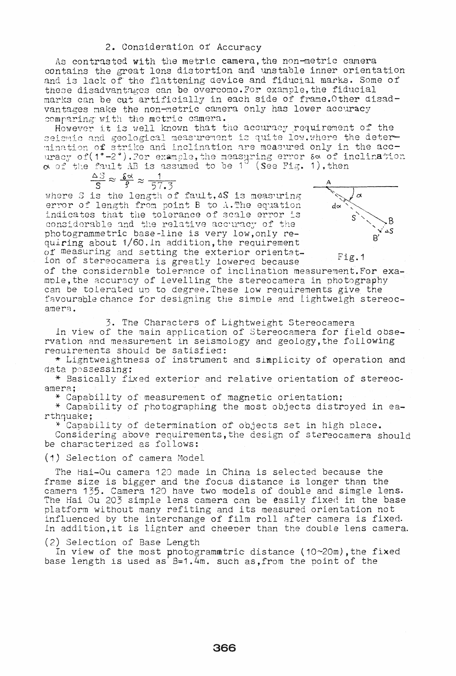#### 2. Consideration of Accuracy

As contrasted with the metric camera, the non-metric camera contains the great lens distortion and unstable inner orientation and is lack of the flattening device and fiducial marks. Some of these disadvantages can be overcome. For example, the fiducial marks can be cut artificially in each side of frame. Other disadvantages make the non-metric camera only has lower accuracy comparing with the metric camera.

However it is well known that the accuracy requirement of the seismic and geological measurement is quite low. where the determination of strike and inclination are measured only in the accuracy of (1°-2°). For example, the measuring error so of inclination  $\alpha$  of the fault AB is assumed to be 1<sup>0</sup> (See Fig. 1), then

$$
\frac{\Delta S}{S} \approx \frac{\delta \alpha}{\beta} \approx \frac{1}{57.3}
$$

where S is the length of fault, AS is measuring error of length from point B to A. The equation indicates that the tolerance of scale error is considerable and the relative accuracy of the photogrammetric base-line is very low, only requiring about 1/60. In addition, the requirement of measuring and setting the exterior orientation of stereocamera is greatly lowered because



Fig.1

of the considerable tolerance of inclination measurement. For example, the accuracy of levelling the stereocamera in photography can be tolerated up to degree. These low requirements give the favourable chance for designing the simple and lightweigh stereocamera.

3. The Characters of Lightweight Stereocamera

In view of the main application of Stereocamera for field observation and measurement in seismology and geology, the following requirements should be satisfied:

\* Lightweightness of instrument and simplicity of operation and data possessing:

\* Basically fixed exterior and relative orientation of stereocamera:

\* Capabillty of measurement of magnetic orientation;

\* Capability of photographing the most objects distroyed in earthquake;

\* Capability of determination of objects set in high place.

Considering above requirements, the design of stereocamera should be characterized as follows:

(1) Selection of camera Model

The Hai-Ou camera 120 made in China is selected because the frame size is bigger and the focus distance is longer than the camera 135. Camera 120 have two models of double and simgle lens. The Hai Ou 203 simple lens camera can be easily fixed in the base platform without many refiting and its measured orientation not influenced by the interchange of film roll after camera is fixed. In addition, it is lighter and cheeper than the double lens camera.

(2) Selection of Base Length

In view of the most photogrammatric distance ( $10~20$ m), the fixed base length is used as  $B=1.4$ m. such as, from the point of the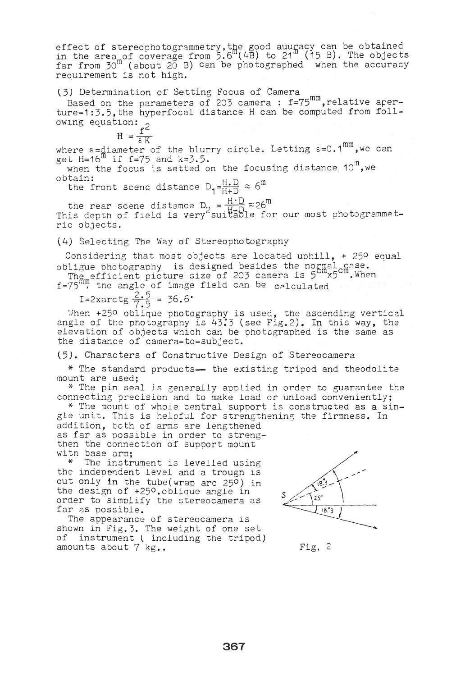effect of stereophotogrammetry, the good auuracy can be obtained in the area of coverage from  $5.6^{\text{m}}(4B)$  to  $21^{\text{m}}(15 B)$ . The objects In the area of coverage from  $f(x) = f(x) - f(x) - f(x)$  . The estimate for  $f(x) = f(x) - f(x)$  and  $f(x) = f(x) - f(x)$  and  $f(x) = f(x) - f(x)$  and  $f(x) = f(x) - f(x)$  are photographed when the accuracy requlrement is not high.

(3) Determination of Setting Focus of Camera

Based on the parameters of 203 camera: f=75<sup>mm</sup>, relative aperture=1:3.5,the hyperfocal distance H can be computed from fol1 owing equation:  $\alpha$ 

$$
H = \frac{f^2}{\epsilon K}
$$

where  $\varepsilon =$ diameter of the blurry circle. Letting  $\varepsilon = 0.1^{mm}$ , we can get H=16<sup>m</sup> if f=75 and k=3.5.

 $t$  H=16 if i=75 and  $k=0.5$ .<br>when the focus is setted on the focusing distance 10<sup>m</sup>,we  $obtain:$   $h.D. cm$ 

the front scenc distance  $D_1=\frac{H+D}{H+D} \approx 6^{\circ}$ 

the rear scene distamce  $D_2 = \frac{H \cdot D}{H - D} \approx 26^m$ <br>This depth of field is very<sup>2</sup> suitable for our most photogrammetric objects.

### (4) Selecting The Way of Stereophotography

Considering that most objects are located uphill,  $+$  250 equal obligue photography is designed besides the normal case.

The efficient picture size of 203 camera is 5<sup>cm</sup>x5<sup>cm</sup>. When f=75<sup>m</sup>, the angle of image field can be calculated

I=2xarctg  $\frac{2.5}{7.5}$  = 36.6°

When  $+250$  oblique photography is used, the ascending vertical angle of the photography is 43.3 (see Fig.2). In this way, the elevation of objects which can be photographed is the same as the distance of camera-to-subject.

t5). Characters of Constructive Design of Stereocamera

\* The standard products-- the existing tripod and theodolite mount are used:

\* The pin seal is generally applied in order to guarantee the connecting precision and to make load or unload conveniently;<br>\* The mount of whole central support is constructed as a sin-

gle unit. This is heloful for strengthening the firmness. In

addition, beth of arms are lengthened as far as possible in order to strengthen the connection of supoort mount with base arm;

 $*$  The instrument is levelled using the independent level and a trough is cut only in the tube(wrap arc 250) in the design of +250.oblique angle in order to simplify the stereocamera as far as possible.

The appearance of stereocamera is shown in Fig.3. The weight of one set of instrument ( including the tripod) amounts about  $7 \text{ kg}$ .



Fig. 2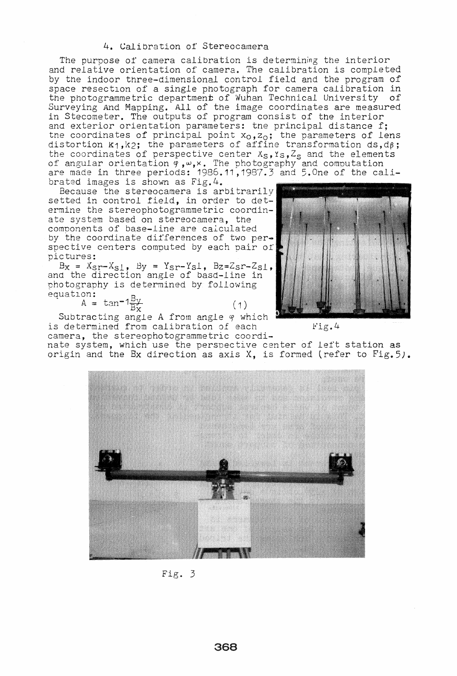#### 4. Calibration of' Stereocamera

The purpose of camera calibration is determining the interior and relative orientation of camera. The calibration is completed by the indoor three-dimensional control field and the program of space resectlon of a single photograph for camera calibration in the photogramme tric department of 'Nuhan Technical Uni versi ty of Surveying And Mapping. All of the image coordinates are measured in Stecometer. The outputs of program consist of the interior and exterior orientation parameters: tne principal distance f; the coordinates of principal point  $x_0$ ,  $z_0$ ; the parameters of lens distortion  $k_1, k_2$ ; the parameters of affine transformation ds,  $d\beta$ ; the coordinates of perspective center  $x_S, x_S, Z_S$  and the elements of angular orientation  $\theta$ ,  $\omega$ ,  $x$ . The photography and computation are made in three periods: 1986.11,1987.3 and 5.0ne of the calibrated images is shown as Fig.4.

Because the stereocamera is arbitrarily setted in control field, in order to determine the stereophotogrammetric coordinate system based on stereocamera, the components of base-line are caiculated by the coordinate differences of two perspective centers computed by each pair of pictures:

 $B_x = X_{ST} - X_{S1}$ ,  $By = Y_{ST} - Y_{S1}$ ,  $Bz = Z_{ST} - Z_{S1}$ , and the direction angle of basd-line in photography is determined by following<br>equation:  $_{\rm{equation}}$ :  $_{\rm{B}}$ 

 $A = \tan^{-1} \frac{DV}{B_{\infty}}$  (1)

Subtracting angle A from angle  $\varphi$  which is determined from calibration of each  $\text{Fig. 4}$ camera, the stereophotogrammetric coordi-

nate system, which use the perspective center of left station as origin and the Ex direction as axis X, is formed (refer to Fig.5).



Fig. 3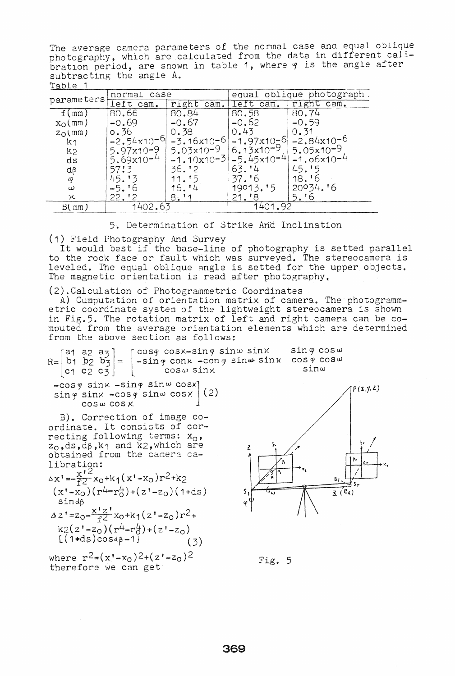The average camera parameters of the normal case ana equal oblique photography, which are calculated from the data in different callbration period, are snown in table 1, where  $\varphi$  is the angle after subtracting the angle A. Table 1

| $-000$                                              |                 |                            |                           |                 |
|-----------------------------------------------------|-----------------|----------------------------|---------------------------|-----------------|
| parameters                                          | normal case     |                            | equal oblique photograph. |                 |
|                                                     | left cam.       | cam.<br>rıght              | left cam.                 | right cam.      |
| f(mm)                                               | 80.66           | 80.84                      | 80.58                     | 80.74           |
| $\mathbf{x}_{\mathsf{O}}(\mathfrak{m}\mathfrak{m})$ | $-0.69$         | $-0.67$                    | $-0.62$                   | $-0.59$         |
| $Z_{\rm O}$ (mm)                                    | 0.36            | 0.38                       | 0.43                      | 0.31            |
| k1                                                  | $-2.54x10^{-6}$ |                            | $-3.16x10-6$ $-1.97x10-6$ | $-2.84x10^{-6}$ |
| k2                                                  | $5.97x10 - 9$   | $5.03x10-9$ $ 6.13x10-9$ . |                           | $5.05x10-9$     |
| ds                                                  | $5.69x10 - 4$   |                            | $-1.10x10-3$ $-5.45x10-4$ | $-1.06x10^{-4}$ |
| $d\beta$                                            | 57!3            | 36.12                      | 63.14                     | 45.15           |
| φ                                                   | 45.13           | 11.15                      | 37.16                     | 18.16           |
| $\omega$                                            | -5.16           | 16. '4                     | 19013.15                  | $20034.$ '6     |
| χ                                                   | 22.12           | 8:11                       | 21.18                     | 5.16            |
| B(mm)                                               | 1402.63         |                            | 1401.92                   |                 |

5. Determination of Strike Arid Inclination

(1) Field Photography And Survey

It would best if the base-line of photography is setted parallel to the rock face or fault which was surveyed. The stereocamera is leveled. The equal oblique angle is setted for the upper objects. The magnetic orientation is read after photography.

(2).Calculation of Photogrammetric Coordinates

A) Cumputation of orientation matrix of camera. The photogrammetric coordinate system of the lightweight stereocamera is shown in Fig.5. The rotation matrix of left and right camera can be computed from the average orientation elements which are determined from the above section as follows:

r and a and the cost cost in the sind sing sing cost and  $R = \begin{bmatrix} b_1 & b_2 & b_3 \end{bmatrix} = \begin{bmatrix} \cos\varphi & \cos x - \sin\varphi & \sin\varphi & \sin\varphi & \sin x & \cos\varphi & \cos\varphi \\ -\sin\varphi & \cos\varphi & \cos\varphi & \cos\varphi & \cos\varphi & \cos\varphi & \cos\varphi & \cos\varphi \end{bmatrix}$  $\frac{2\pi}{\pi}$  -sing conk -cong sin $\omega$  sink cosg cosw sinu.  $|c_1 c_2 c_3|$   $|$   $c_0 s \omega \sin x$  $-$ cos $\varphi$  sin $\times$  -sin $\varphi$  sin $\omega$  cos $\chi$  (2)<br>sin $\varphi$  sin $\chi$  -cos $\varphi$  sin $\omega$  cos $\chi$  (2)  $\sin\varphi$  sinx  $-\cos\varphi$  sin $\omega$  cosx cos *w* cos)(.

B). Correction of image coordinate. It consists of correcting following terms: x<sub>0</sub>,  $z_0$ , ds, d $\beta$ , k1 and k2, which are obtained from the camera calibration:

$$
\Delta x' = \frac{x'2}{f^2} x_0 + k_1 (x' - x_0) r^2 + k_2
$$
  
\n
$$
(x' - x_0) (r^4 - r_0^4) + (z' - z_0) (1 + ds)
$$
  
\nsind $\beta$   
\n
$$
\Delta z' = z_0 - \frac{x'z'}{f^2} x_0 + k_1 (z' - z_0) r^2 + k_2 (z' - z_0) (r^4 - r_0^4) + (z' - z_0)
$$
  
\n
$$
[(1 + ds) \cos 4\beta - 1]
$$
  
\n(3)

where  $r^2 = (x'-x_0)^2 + (z'-z_0)^2$  Fig. 5<br>therefore we can get

 $P(X, Y, Z)$  $~\cdot~$  /  $\mathbf{z}$ I م م £٤,  $\overline{X}(\overline{B_{\lambda}})$ 

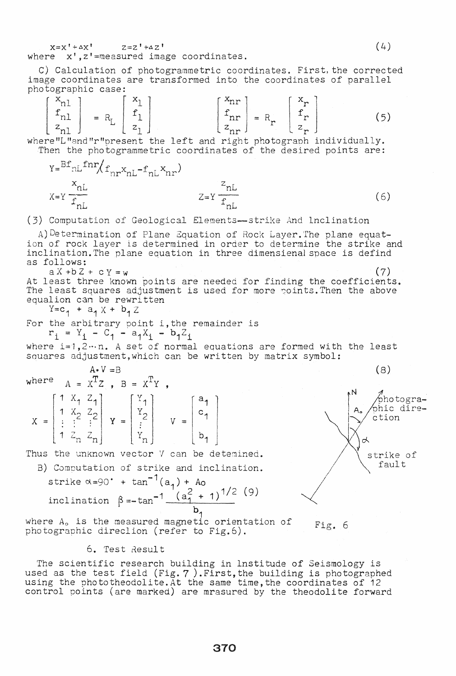$X=X' + \Delta X'$   $Z=Z' + \Delta Z'$ where x', z'=measured image coordinates.

C) Calculation of photogrammetric coordinates. First, the corrected image coordinates are transformed into the coordinates of parallel photographic case:

$$
\begin{bmatrix} x_{n1} \\ f_{n1} \\ z_{n1} \end{bmatrix} = R_{L} \begin{bmatrix} x_{1} \\ f_{1} \\ z_{1} \end{bmatrix}
$$
 
$$
\begin{bmatrix} x_{nr} \\ f_{nr} \\ z_{nr} \end{bmatrix} = R_{r} \begin{bmatrix} x_{r} \\ f_{r} \\ z_{r} \end{bmatrix}
$$
 (5)

where"L"and"r"present the left and right photograph individually. Then the photogrammetric coordinates of the desired points are:

$$
Y = \frac{Bf_{\text{nl}} f n r}{f_{\text{nl}}} f_{\text{nr}} X_{\text{nl}} - f_{\text{nl}} X_{\text{nr}})
$$
  

$$
Z = Y \frac{z_{\text{nl}}}{f_{\text{nl}}} \tag{6}
$$

(3) Computation of Geological Elements-strike And Inclination

A) Determination of Plane Equation of Rock Layer. The plane equation of rock layer is determined in order to determine the strike and<br>inclination. The plane equation in three dimensienal space is defind as follows:

 $a X + b Z + c Y = w$  $(7)$ At least three known points are needed for finding the coefficients. The least squares adjustment is used for more points. Then the above equalion can be rewritten

 $Y = c_1 + a_1 X + b_1 Z$ 

For the arbitrary point i, the remainder is  $r_i = Y_i - C_1 - a_1X_i - b_1Z_i$ 

where  $i=1,2...n$ . A set of normal equations are formed with the least squares adjustment, which can be written by matrix symbol:

where 
$$
A = X^T Z
$$
,  $B = X^T Y$ ,  
\n
$$
X = \begin{bmatrix} 1 & X_1 & Z_1 \\ 1 & X_2 & Z_2 \\ \vdots & \vdots & \vdots \\ 1 & Z_n & Z_n \end{bmatrix} Y = \begin{bmatrix} Y_1 \\ Y_2 \\ \vdots \\ Y_n \end{bmatrix} Y = \begin{bmatrix} a_1 \\ c_1 \\ b_1 \end{bmatrix}
$$

Thus the unknown vector V can be detemined.

B) Computation of strike and inclination. strike  $\alpha = 90^{\circ} + \tan^{-1}(a_1) +$  Ao inclination  $\beta = -\tan^{-1} \frac{(a_1^2 + 1)^{1/2}}{1}$  (9)

where  $A_0$  is the measured magnetic orientation of photographic direclion (refer to Fig.6).

# 6. Test Result

The scientific research building in lnstitude of Seismology is used as the test field (Fig. 7). First, the building is photographed using the phototheodolite. At the same time, the coordinates of 12 control points (are marked) are mrasured by the theodolite forward



 $(8)$ 

ction

strike of fault

</u>

bhotographic dire-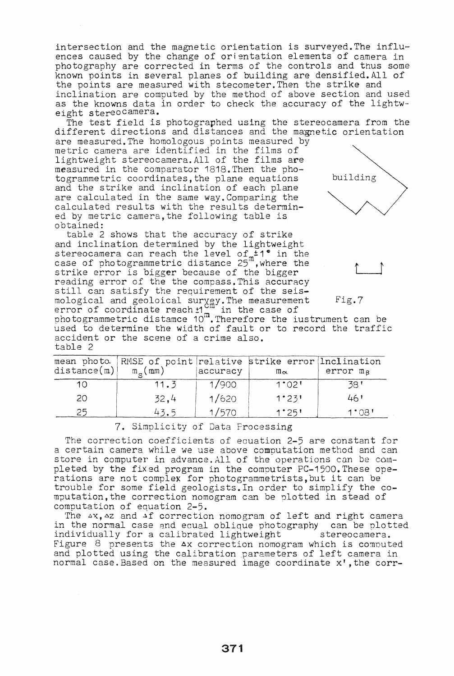intersection and the magnetic orientation is surveyed. The influences caused by the change of orientation elements of camera in photography are corrected in terms of the controls and thus some known points in several planes of building are densified.All of the points are measured with stecometer.Then the strike and inclination are computed by the method of above section and used as the knowns data in order to check the accuracy of the lightw- eight stereo camera.

The test field is photographed using the stereocamera from the different directions and distances and the magnetic orientation

are measured. The homologous points measured by metric camera are identified in the films of lightweight stereocamera.All of the films are measured in the comparator 1818.Then the photogrammetric coordinates, the plane equations and the strike and inclination of each plane are calculated in the same way.Comparing the calculated results with the results determined by metric camera,the following table is obtained:

table 2 shows that the accuracy of strike and inclination determined by the lightweight stereocamera can reach the level of  $+1°$  in the stereocamera can reach the fever of  $+$  1 in the<br>case of photogrammetric distance 25 ,where the strike error is bigger because of the bigger reading error of the the compass. This accuracy still can satisfy the requirement of the seismological and geoloical survey. The measurement mological and georolical survey. The measurement<br>error of coordinate reach  $1\frac{m}{m}$  in the case of



 $\mathbb{L}$ 

Fig.7

effor or coordinate reaching in the case of<br>photogrammetric distamce 10<sup>m</sup>. Therefore the iustrument can be used to determine the width of fault or to record the traffic accident or the scene of a crime also. table 2

| distance(m) | mean photo. RMSE of point relative strike error Inclination<br>$m_{\alpha}$ ( mm ) | accuracy | $m_{\alpha}$ | error m <sub>8</sub> |
|-------------|------------------------------------------------------------------------------------|----------|--------------|----------------------|
| 10          | 11.3                                                                               | 1/900    | 1°02'        | 38 '                 |
| -20         | 32.4                                                                               | 1/620    | 1°23'        | 46'                  |
| 25          | 43.5                                                                               | 1/570    | 1°25'        | 1°08'                |

7. Simplicity of Data Processing

The correction coefficients of eauation 2-5 are constant for a certain camera while we use above computation method and can store in computer in advance. All of the operations can be completed by the fixed program in the computer PC-15QO.These operations are not complex for photogrammetrists,but it can be trouble for some field geologists.In order to simplify the computation,the correction nomogram can be Dlotted in stead of computation of equation 2-5.

The  $\Delta X$ ,  $\Delta Z$  and  $\Delta f$  correction nomogram of left and right camera in the normal case and equal oblique photography can be plotted individually for a calibrated lightweight stereocamera. Figure 8 presents the  $\Delta x$  correction nomogram which is computed and plotted using the calibration parameters of left camera in normal case. Based on the measured image coordinate x', the corr-